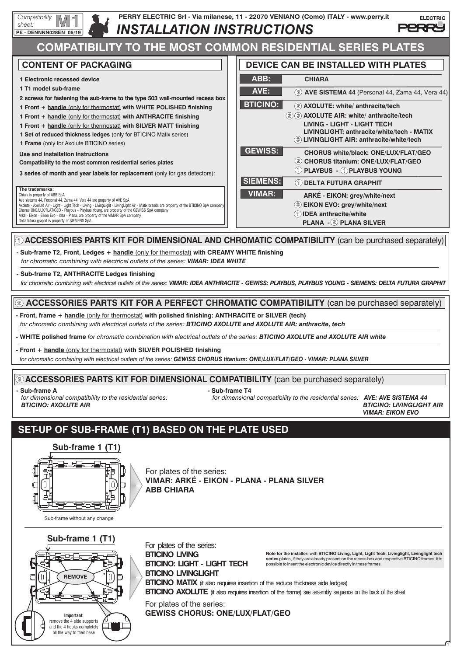



For plates of the series: **VIMAR: ARKÉ - EIKON - PLANA - PLANA SILVER ABB CHIARA**

Sub-frame without any change



For plates of the series: **BTICINO LIVING BTICINO: LIGHT - LIGHT TECH BTICINO LIVINGLIGHT** For plates of the series:

Note for the installer: with BTICINO Living, Light, Light Tech, Livinglight, Livinglight tech<br>series plates, if they are already present on the recess box and respective BTICINO frames, it is<br>possible to insert the electro

1

**BTICINO MATIX** (it also requires insertion of the reduce thickness side ledges)

**BTICINO AXOLUTE** (it also requires insertion of the frame) see assembly sequence on the back of the sheet

**GEWISS CHORUS: ONE/LUX/FLAT/GEO**